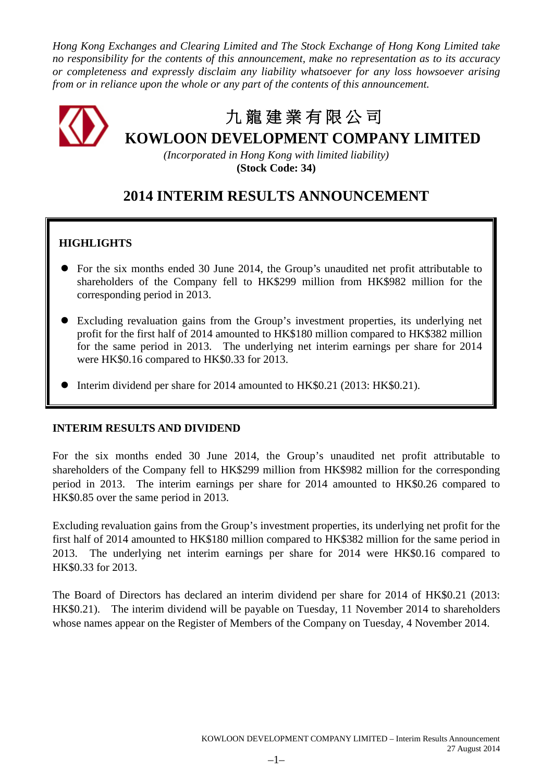*Hong Kong Exchanges and Clearing Limited and The Stock Exchange of Hong Kong Limited take no responsibility for the contents of this announcement, make no representation as to its accuracy or completeness and expressly disclaim any liability whatsoever for any loss howsoever arising from or in reliance upon the whole or any part of the contents of this announcement.*

# 九 龍 建 業 有 限 公 司 **KOWLOON DEVELOPMENT COMPANY LIMITED**

*(Incorporated in Hong Kong with limited liability)* **(Stock Code: 34)**

# **2014 INTERIM RESULTS ANNOUNCEMENT**

## **HIGHLIGHTS**

- For the six months ended 30 June 2014, the Group's unaudited net profit attributable to shareholders of the Company fell to HK\$299 million from HK\$982 million for the corresponding period in 2013.
- Excluding revaluation gains from the Group's investment properties, its underlying net profit for the first half of 2014 amounted to HK\$180 million compared to HK\$382 million for the same period in 2013. The underlying net interim earnings per share for 2014 were HK\$0.16 compared to HK\$0.33 for 2013.
- Interim dividend per share for 2014 amounted to HK\$0.21 (2013: HK\$0.21).

## **INTERIM RESULTS AND DIVIDEND**

For the six months ended 30 June 2014, the Group's unaudited net profit attributable to shareholders of the Company fell to HK\$299 million from HK\$982 million for the corresponding period in 2013. The interim earnings per share for 2014 amounted to HK\$0.26 compared to HK\$0.85 over the same period in 2013.

Excluding revaluation gains from the Group's investment properties, its underlying net profit for the first half of 2014 amounted to HK\$180 million compared to HK\$382 million for the same period in 2013. The underlying net interim earnings per share for 2014 were HK\$0.16 compared to HK\$0.33 for 2013.

The Board of Directors has declared an interim dividend per share for 2014 of HK\$0.21 (2013: HK\$0.21). The interim dividend will be payable on Tuesday, 11 November 2014 to shareholders whose names appear on the Register of Members of the Company on Tuesday, 4 November 2014.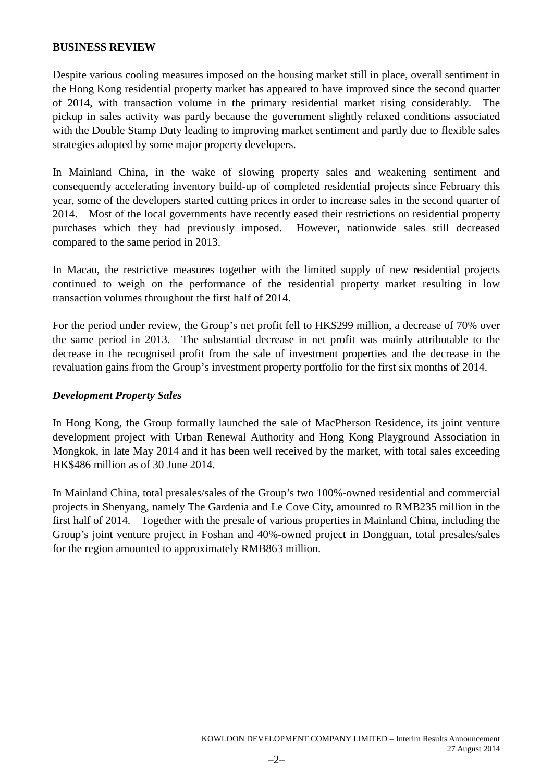## **BUSINESS REVIEW**

Despite various cooling measures imposed on the housing market still in place, overall sentiment in the Hong Kong residential property market has appeared to have improved since the second quarter of 2014, with transaction volume in the primary residential market rising considerably. The pickup in sales activity was partly because the government slightly relaxed conditions associated with the Double Stamp Duty leading to improving market sentiment and partly due to flexible sales strategies adopted by some major property developers.

In Mainland China, in the wake of slowing property sales and weakening sentiment and consequently accelerating inventory build-up of completed residential projects since February this year, some of the developers started cutting prices in order to increase sales in the second quarter of 2014. Most of the local governments have recently eased their restrictions on residential property purchases which they had previously imposed. However, nationwide sales still decreased compared to the same period in 2013.

In Macau, the restrictive measures together with the limited supply of new residential projects continued to weigh on the performance of the residential property market resulting in low transaction volumes throughout the first half of 2014.

For the period under review, the Group's net profit fell to HK\$299 million, a decrease of 70% over the same period in 2013. The substantial decrease in net profit was mainly attributable to the decrease in the recognised profit from the sale of investment properties and the decrease in the revaluation gains from the Group's investment property portfolio for the first six months of 2014.

## *Development Property Sales*

In Hong Kong, the Group formally launched the sale of MacPherson Residence, its joint venture development project with Urban Renewal Authority and Hong Kong Playground Association in Mongkok, in late May 2014 and it has been well received by the market, with total sales exceeding HK\$486 million as of 30 June 2014.

In Mainland China, total presales/sales of the Group's two 100%-owned residential and commercial projects in Shenyang, namely The Gardenia and Le Cove City, amounted to RMB235 million in the first half of 2014. Together with the presale of various properties in Mainland China, including the Group's joint venture project in Foshan and 40%-owned project in Dongguan, total presales/sales for the region amounted to approximately RMB863 million.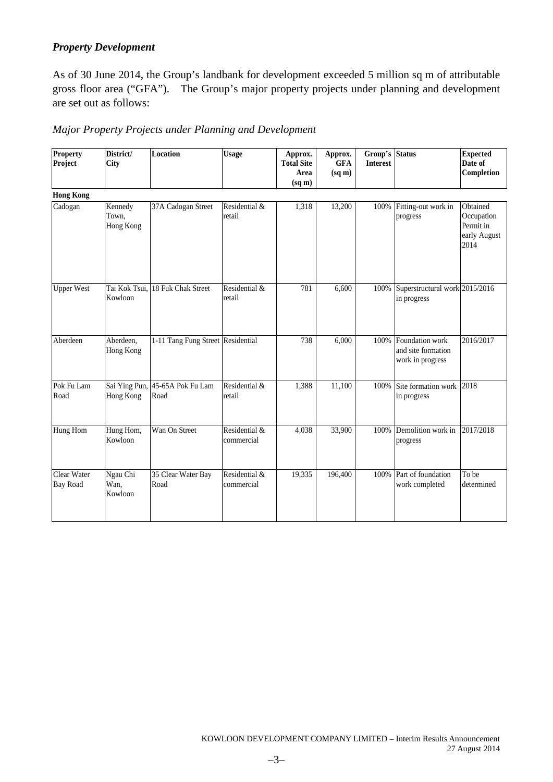## *Property Development*

As of 30 June 2014, the Group's landbank for development exceeded 5 million sq m of attributable gross floor area ("GFA"). The Group's major property projects under planning and development are set out as follows:

## *Major Property Projects under Planning and Development*

| <b>Property</b><br>Project     | District/<br><b>City</b>      | <b>Location</b>                   | <b>Usage</b>                | Approx.<br><b>Total Site</b><br>Area<br>$(sq \, \text{m})$ | Approx.<br><b>GFA</b><br>(sq m) | Group's<br><b>Interest</b> | <b>Status</b>                                             | <b>Expected</b><br>Date of<br>Completion                    |
|--------------------------------|-------------------------------|-----------------------------------|-----------------------------|------------------------------------------------------------|---------------------------------|----------------------------|-----------------------------------------------------------|-------------------------------------------------------------|
| <b>Hong Kong</b>               |                               |                                   |                             |                                                            |                                 |                            |                                                           |                                                             |
| Cadogan                        | Kennedy<br>Town.<br>Hong Kong | 37A Cadogan Street                | Residential &<br>retail     | 1,318                                                      | 13,200                          | 100%                       | Fitting-out work in<br>progress                           | Obtained<br>Occupation<br>Permit in<br>early August<br>2014 |
| <b>Upper West</b>              | Tai Kok Tsui,<br>Kowloon      | 18 Fuk Chak Street                | Residential &<br>retail     | 781                                                        | 6,600                           | 100%                       | Superstructural work 2015/2016<br>in progress             |                                                             |
| Aberdeen                       | Aberdeen.<br>Hong Kong        | 1-11 Tang Fung Street Residential |                             | 738                                                        | 6,000                           | 100%                       | Foundation work<br>and site formation<br>work in progress | 2016/2017                                                   |
| Pok Fu Lam<br>Road             | Sai Ying Pun,<br>Hong Kong    | 45-65A Pok Fu Lam<br>Road         | Residential &<br>retail     | 1,388                                                      | 11,100                          | 100%                       | Site formation work<br>in progress                        | 2018                                                        |
| Hung Hom                       | Hung Hom,<br>Kowloon          | Wan On Street                     | Residential &<br>commercial | 4,038                                                      | 33,900                          | 100%                       | Demolition work in<br>progress                            | 2017/2018                                                   |
| Clear Water<br><b>Bay Road</b> | Ngau Chi<br>Wan,<br>Kowloon   | 35 Clear Water Bay<br>Road        | Residential &<br>commercial | 19,335                                                     | 196,400                         | 100%                       | Part of foundation<br>work completed                      | To be<br>determined                                         |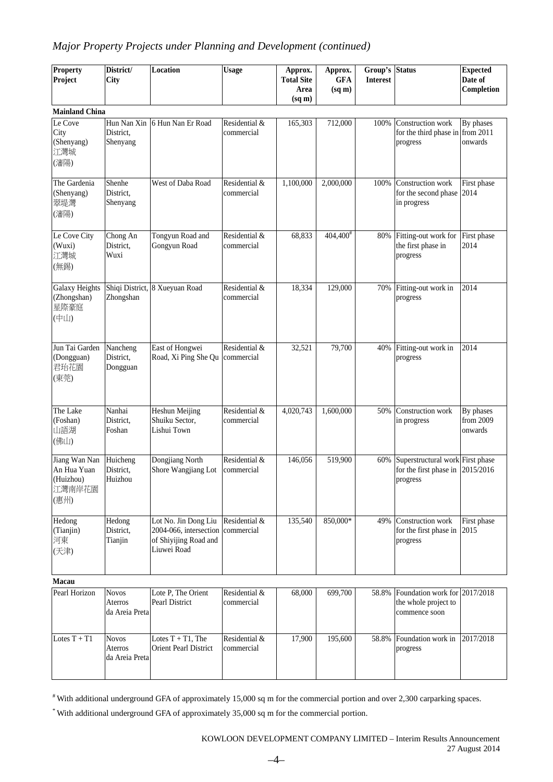## *Major Property Projects under Planning and Development (continued)*

| Property<br>Project                                         | District/<br>City                         | <b>Location</b>                                                                        | <b>Usage</b>                | Approx.<br><b>Total Site</b><br>Area<br>$(sq \, \text{m})$ | Approx.<br><b>GFA</b><br>$(sq \, \text{m})$ | Group's<br><b>Interest</b> | <b>Status</b>                                                                                             | <b>Expected</b><br>Date of<br>Completion |
|-------------------------------------------------------------|-------------------------------------------|----------------------------------------------------------------------------------------|-----------------------------|------------------------------------------------------------|---------------------------------------------|----------------------------|-----------------------------------------------------------------------------------------------------------|------------------------------------------|
| <b>Mainland China</b>                                       |                                           |                                                                                        |                             |                                                            |                                             |                            |                                                                                                           |                                          |
| Le Cove<br>City<br>(Shenyang)<br>江灣城<br>(瀋陽)                | Hun Nan Xin<br>District,<br>Shenyang      | 6 Hun Nan Er Road                                                                      | Residential &<br>commercial | 165,303                                                    | 712,000                                     | 100%                       | Construction work<br>for the third phase in from $2011$<br>progress                                       | By phases<br>onwards                     |
| The Gardenia<br>(Shenyang)<br>翠堤灣<br>(瀋陽)                   | Shenhe<br>District,<br>Shenyang           | West of Daba Road                                                                      | Residential &<br>commercial | 1,100,000                                                  | 2,000,000                                   | 100%                       | Construction work<br>for the second phase 2014<br>in progress                                             | First phase                              |
| Le Cove City<br>(Wuxi)<br>江灣城<br>(無錫)                       | Chong An<br>District,<br>Wuxi             | Tongyun Road and<br>Gongyun Road                                                       | Residential &<br>commercial | 68,833                                                     | $404,400^{\text{*}}$                        | 80%                        | Fitting-out work for<br>the first phase in<br>progress                                                    | First phase<br>2014                      |
| Galaxy Heights<br>(Zhongshan)<br>星際豪庭<br>(中山)               | Zhongshan                                 | Shiqi District, 8 Xueyuan Road                                                         | Residential &<br>commercial | 18,334                                                     | 129,000                                     | 70%                        | Fitting-out work in<br>progress                                                                           | 2014                                     |
| Jun Tai Garden<br>(Dongguan)<br>君珆花園<br>(東莞)                | Nancheng<br>District,<br>Dongguan         | East of Hongwei<br>Road, Xi Ping She Qu                                                | Residential &<br>commercial | 32,521                                                     | 79,700                                      | 40%                        | Fitting-out work in<br>progress                                                                           | 2014                                     |
| The Lake<br>(Foshan)<br>山語湖<br>(佛山)                         | Nanhai<br>District.<br>Foshan             | Heshun Meijing<br>Shuiku Sector,<br>Lishui Town                                        | Residential &<br>commercial | 4,020,743                                                  | 1,600,000                                   | 50%                        | Construction work<br>in progress                                                                          | By phases<br>from 2009<br>onwards        |
| Jiang Wan Nan<br>An Hua Yuan<br>(Huizhou)<br>江灣南岸花園<br>(惠州) | Huicheng<br>District,<br>Huizhou          | Dongjiang North<br>Shore Wangjiang Lot                                                 | Residential &<br>commercial | 146,056                                                    | 519,900                                     | 60%                        | Superstructural work First phase<br>for the first phase in $\left  \frac{2015}{2016} \right $<br>progress |                                          |
| Hedong<br>(Tianjin)<br>河東<br>(天津)                           | Hedong<br>District,<br>Tianjin            | Lot No. Jin Dong Liu<br>2004-066, intersection<br>of Shiyijing Road and<br>Liuwei Road | Residential &<br>commercial | 135,540                                                    | 850,000*                                    | 49%                        | Construction work<br>for the first phase in<br>progress                                                   | First phase<br>2015                      |
| Macau                                                       |                                           |                                                                                        |                             |                                                            |                                             |                            |                                                                                                           |                                          |
| Pearl Horizon                                               | <b>Novos</b><br>Aterros<br>da Areia Preta | Lote P, The Orient<br>Pearl District                                                   | Residential &<br>commercial | 68,000                                                     | 699,700                                     | 58.8%                      | Foundation work for 2017/2018<br>the whole project to<br>commence soon                                    |                                          |
| Lotes $T + T1$                                              | <b>Novos</b><br>Aterros<br>da Areia Preta | Lotes $T + T1$ , The<br><b>Orient Pearl District</b>                                   | Residential &<br>commercial | 17,900                                                     | 195,600                                     | 58.8%                      | Foundation work in<br>progress                                                                            | 2017/2018                                |

# With additional underground GFA of approximately 15,000 sq m for the commercial portion and over 2,300 carparking spaces.

\* With additional underground GFA of approximately 35,000 sq m for the commercial portion.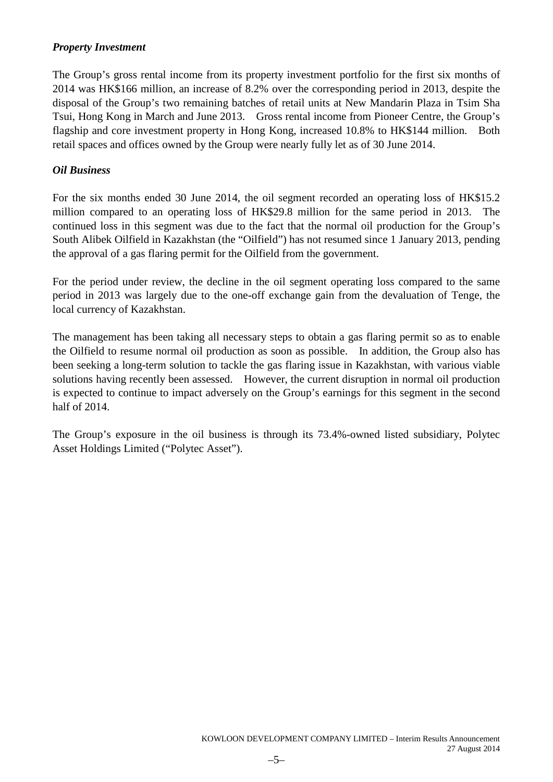## *Property Investment*

The Group's gross rental income from its property investment portfolio for the first six months of 2014 was HK\$166 million, an increase of 8.2% over the corresponding period in 2013, despite the disposal of the Group's two remaining batches of retail units at New Mandarin Plaza in Tsim Sha Tsui, Hong Kong in March and June 2013. Gross rental income from Pioneer Centre, the Group's flagship and core investment property in Hong Kong, increased 10.8% to HK\$144 million. Both retail spaces and offices owned by the Group were nearly fully let as of 30 June 2014.

## *Oil Business*

For the six months ended 30 June 2014, the oil segment recorded an operating loss of HK\$15.2 million compared to an operating loss of HK\$29.8 million for the same period in 2013. The continued loss in this segment was due to the fact that the normal oil production for the Group's South Alibek Oilfield in Kazakhstan (the "Oilfield") has not resumed since 1 January 2013, pending the approval of a gas flaring permit for the Oilfield from the government.

For the period under review, the decline in the oil segment operating loss compared to the same period in 2013 was largely due to the one-off exchange gain from the devaluation of Tenge, the local currency of Kazakhstan.

The management has been taking all necessary steps to obtain a gas flaring permit so as to enable the Oilfield to resume normal oil production as soon as possible. In addition, the Group also has been seeking a long-term solution to tackle the gas flaring issue in Kazakhstan, with various viable solutions having recently been assessed. However, the current disruption in normal oil production is expected to continue to impact adversely on the Group's earnings for this segment in the second half of 2014.

The Group's exposure in the oil business is through its 73.4%-owned listed subsidiary, Polytec Asset Holdings Limited ("Polytec Asset").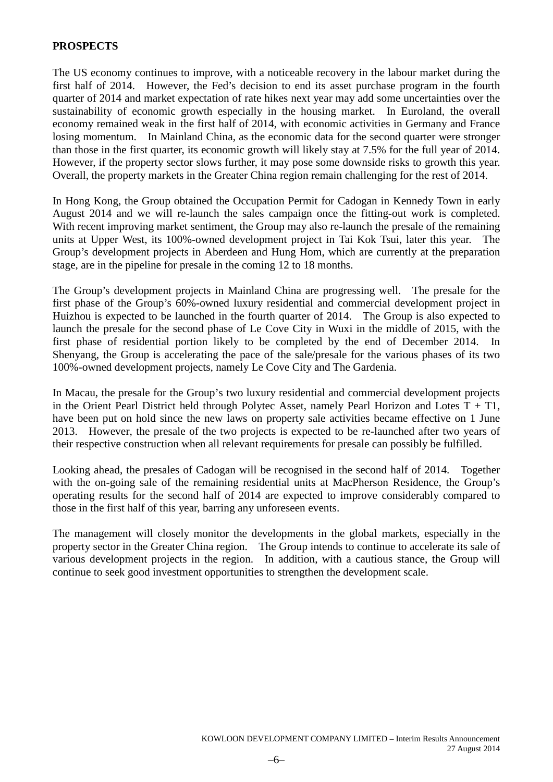## **PROSPECTS**

The US economy continues to improve, with a noticeable recovery in the labour market during the first half of 2014. However, the Fed's decision to end its asset purchase program in the fourth quarter of 2014 and market expectation of rate hikes next year may add some uncertainties over the sustainability of economic growth especially in the housing market. In Euroland, the overall economy remained weak in the first half of 2014, with economic activities in Germany and France losing momentum. In Mainland China, as the economic data for the second quarter were stronger than those in the first quarter, its economic growth will likely stay at 7.5% for the full year of 2014. However, if the property sector slows further, it may pose some downside risks to growth this year. Overall, the property markets in the Greater China region remain challenging for the rest of 2014.

In Hong Kong, the Group obtained the Occupation Permit for Cadogan in Kennedy Town in early August 2014 and we will re-launch the sales campaign once the fitting-out work is completed. With recent improving market sentiment, the Group may also re-launch the presale of the remaining units at Upper West, its 100%-owned development project in Tai Kok Tsui, later this year. The Group's development projects in Aberdeen and Hung Hom, which are currently at the preparation stage, are in the pipeline for presale in the coming 12 to 18 months.

The Group's development projects in Mainland China are progressing well. The presale for the first phase of the Group's 60%-owned luxury residential and commercial development project in Huizhou is expected to be launched in the fourth quarter of 2014. The Group is also expected to launch the presale for the second phase of Le Cove City in Wuxi in the middle of 2015, with the first phase of residential portion likely to be completed by the end of December 2014. In Shenyang, the Group is accelerating the pace of the sale/presale for the various phases of its two 100%-owned development projects, namely Le Cove City and The Gardenia.

In Macau, the presale for the Group's two luxury residential and commercial development projects in the Orient Pearl District held through Polytec Asset, namely Pearl Horizon and Lotes  $T + T1$ , have been put on hold since the new laws on property sale activities became effective on 1 June 2013. However, the presale of the two projects is expected to be re-launched after two years of their respective construction when all relevant requirements for presale can possibly be fulfilled.

Looking ahead, the presales of Cadogan will be recognised in the second half of 2014. Together with the on-going sale of the remaining residential units at MacPherson Residence, the Group's operating results for the second half of 2014 are expected to improve considerably compared to those in the first half of this year, barring any unforeseen events.

The management will closely monitor the developments in the global markets, especially in the property sector in the Greater China region. The Group intends to continue to accelerate its sale of various development projects in the region. In addition, with a cautious stance, the Group will continue to seek good investment opportunities to strengthen the development scale.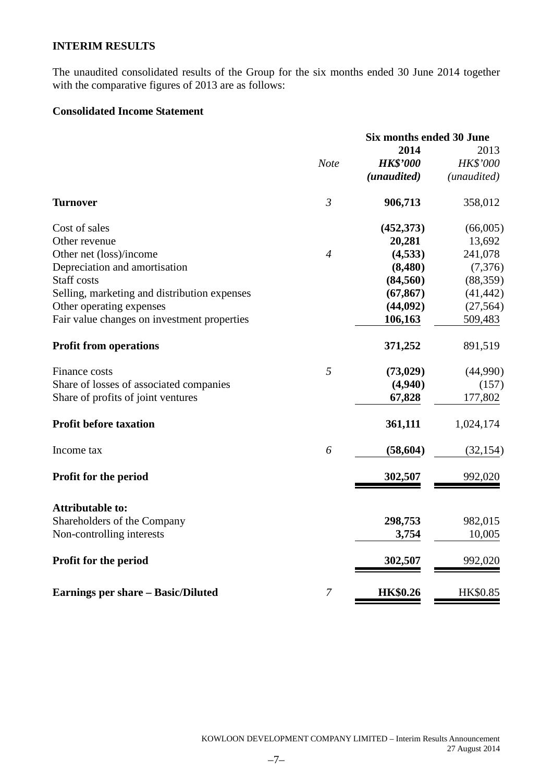## **INTERIM RESULTS**

The unaudited consolidated results of the Group for the six months ended 30 June 2014 together with the comparative figures of 2013 are as follows:

## **Consolidated Income Statement**

|                                              |                | <b>Six months ended 30 June</b> |             |  |
|----------------------------------------------|----------------|---------------------------------|-------------|--|
|                                              |                | 2014                            | 2013        |  |
|                                              | <b>Note</b>    | <b>HK\$'000</b>                 | HK\$'000    |  |
|                                              |                | (unaudited)                     | (unaudited) |  |
| <b>Turnover</b>                              | $\mathfrak{Z}$ | 906,713                         | 358,012     |  |
| Cost of sales                                |                | (452, 373)                      | (66,005)    |  |
| Other revenue                                |                | 20,281                          | 13,692      |  |
| Other net (loss)/income                      | $\overline{4}$ | (4,533)                         | 241,078     |  |
| Depreciation and amortisation                |                | (8,480)                         | (7, 376)    |  |
| Staff costs                                  |                | (84, 560)                       | (88, 359)   |  |
| Selling, marketing and distribution expenses |                | (67, 867)                       | (41, 442)   |  |
| Other operating expenses                     |                | (44,092)                        | (27, 564)   |  |
| Fair value changes on investment properties  |                | 106,163                         | 509,483     |  |
| <b>Profit from operations</b>                |                | 371,252                         | 891,519     |  |
| Finance costs                                | 5              | (73, 029)                       | (44,990)    |  |
| Share of losses of associated companies      |                | (4,940)                         | (157)       |  |
| Share of profits of joint ventures           |                | 67,828                          | 177,802     |  |
| Profit before taxation                       |                | 361,111                         | 1,024,174   |  |
| Income tax                                   | 6              | (58, 604)                       | (32, 154)   |  |
| <b>Profit for the period</b>                 |                | 302,507                         | 992,020     |  |
| <b>Attributable to:</b>                      |                |                                 |             |  |
| Shareholders of the Company                  |                | 298,753                         | 982,015     |  |
| Non-controlling interests                    |                | 3,754                           | 10,005      |  |
| Profit for the period                        |                | 302,507                         | 992,020     |  |
| <b>Earnings per share – Basic/Diluted</b>    | $\overline{7}$ | <b>HK\$0.26</b>                 | HK\$0.85    |  |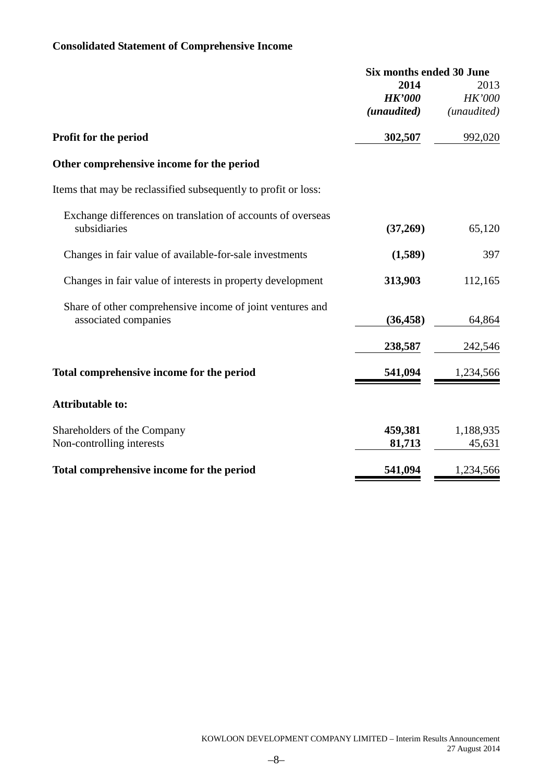## **Consolidated Statement of Comprehensive Income**

|                                                                | Six months ended 30 June |               |
|----------------------------------------------------------------|--------------------------|---------------|
|                                                                | 2014                     | 2013          |
|                                                                | <b>HK'000</b>            | <b>HK'000</b> |
|                                                                | (unaudited)              | (unaudited)   |
| <b>Profit for the period</b>                                   | 302,507                  | 992,020       |
| Other comprehensive income for the period                      |                          |               |
| Items that may be reclassified subsequently to profit or loss: |                          |               |
| Exchange differences on translation of accounts of overseas    |                          |               |
| subsidiaries                                                   | (37,269)                 | 65,120        |
| Changes in fair value of available-for-sale investments        | (1,589)                  | 397           |
| Changes in fair value of interests in property development     | 313,903                  | 112,165       |
| Share of other comprehensive income of joint ventures and      |                          |               |
| associated companies                                           | (36, 458)                | 64,864        |
|                                                                | 238,587                  | 242,546       |
| Total comprehensive income for the period                      | 541,094                  | 1,234,566     |
| <b>Attributable to:</b>                                        |                          |               |
| Shareholders of the Company                                    | 459,381                  | 1,188,935     |
| Non-controlling interests                                      | 81,713                   | 45,631        |
| Total comprehensive income for the period                      | 541,094                  | 1,234,566     |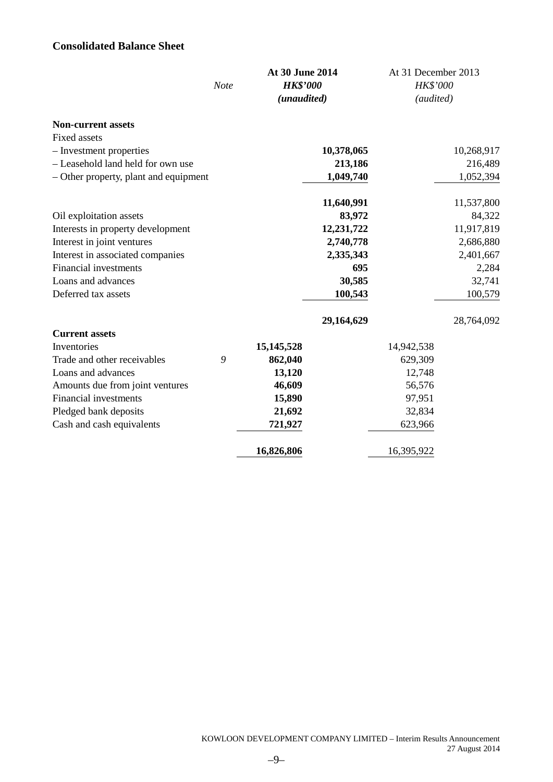## **Consolidated Balance Sheet**

|                                       | Note | At 30 June 2014<br><b>HK\$'000</b> |            | At 31 December 2013<br>HK\$'000 |            |
|---------------------------------------|------|------------------------------------|------------|---------------------------------|------------|
|                                       |      | (unaudited)                        |            | (audited)                       |            |
| <b>Non-current assets</b>             |      |                                    |            |                                 |            |
| <b>Fixed assets</b>                   |      |                                    |            |                                 |            |
| - Investment properties               |      |                                    | 10,378,065 |                                 | 10,268,917 |
| - Leasehold land held for own use     |      |                                    | 213,186    |                                 | 216,489    |
| - Other property, plant and equipment |      |                                    | 1,049,740  |                                 | 1,052,394  |
|                                       |      |                                    | 11,640,991 |                                 | 11,537,800 |
| Oil exploitation assets               |      |                                    | 83,972     |                                 | 84,322     |
| Interests in property development     |      |                                    | 12,231,722 |                                 | 11,917,819 |
| Interest in joint ventures            |      |                                    | 2,740,778  |                                 | 2,686,880  |
| Interest in associated companies      |      |                                    | 2,335,343  |                                 | 2,401,667  |
| <b>Financial investments</b>          |      |                                    | 695        |                                 | 2,284      |
| Loans and advances                    |      |                                    | 30,585     |                                 | 32,741     |
| Deferred tax assets                   |      |                                    | 100,543    |                                 | 100,579    |
|                                       |      |                                    | 29,164,629 |                                 | 28,764,092 |
| <b>Current assets</b>                 |      |                                    |            |                                 |            |
| Inventories                           |      | 15, 145, 528                       |            | 14,942,538                      |            |
| Trade and other receivables           | 9    | 862,040                            |            | 629,309                         |            |
| Loans and advances                    |      | 13,120                             |            | 12,748                          |            |
| Amounts due from joint ventures       |      | 46,609                             |            | 56,576                          |            |
| Financial investments                 |      | 15,890                             |            | 97,951                          |            |
| Pledged bank deposits                 |      | 21,692                             |            | 32,834                          |            |
| Cash and cash equivalents             |      | 721,927                            |            | 623,966                         |            |
|                                       |      | 16,826,806                         |            | 16,395,922                      |            |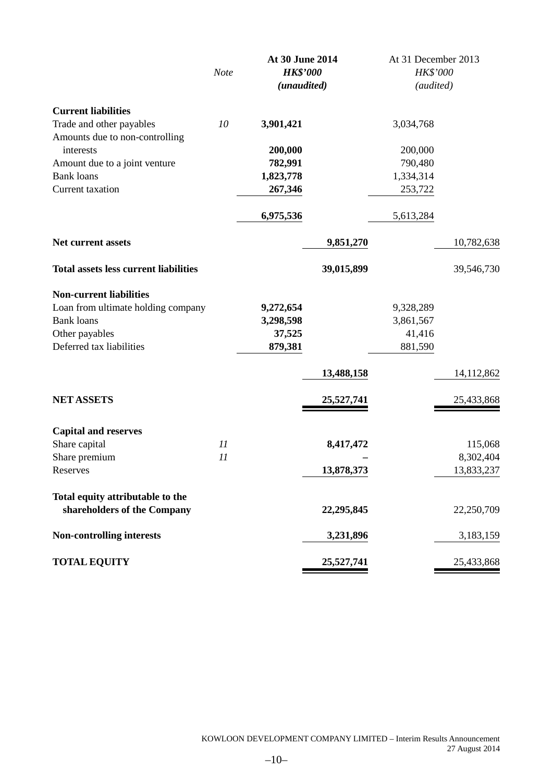|                                              | Note | At 30 June 2014<br><b>HK\$'000</b> |            | At 31 December 2013<br>HK\$'000 |            |
|----------------------------------------------|------|------------------------------------|------------|---------------------------------|------------|
|                                              |      | (unaudited)                        |            | (audited)                       |            |
| <b>Current liabilities</b>                   |      |                                    |            |                                 |            |
| Trade and other payables                     | 10   | 3,901,421                          |            | 3,034,768                       |            |
| Amounts due to non-controlling               |      |                                    |            |                                 |            |
| interests                                    |      | 200,000                            |            | 200,000                         |            |
| Amount due to a joint venture                |      | 782,991                            |            | 790,480                         |            |
| <b>Bank loans</b>                            |      | 1,823,778                          |            | 1,334,314                       |            |
| <b>Current</b> taxation                      |      | 267,346                            |            | 253,722                         |            |
|                                              |      | 6,975,536                          |            | 5,613,284                       |            |
| Net current assets                           |      |                                    | 9,851,270  |                                 | 10,782,638 |
| <b>Total assets less current liabilities</b> |      |                                    | 39,015,899 |                                 | 39,546,730 |
| <b>Non-current liabilities</b>               |      |                                    |            |                                 |            |
| Loan from ultimate holding company           |      | 9,272,654                          |            | 9,328,289                       |            |
| <b>Bank</b> loans                            |      | 3,298,598                          |            | 3,861,567                       |            |
| Other payables                               |      | 37,525                             |            | 41,416                          |            |
| Deferred tax liabilities                     |      | 879,381                            |            | 881,590                         |            |
|                                              |      |                                    | 13,488,158 |                                 | 14,112,862 |
| <b>NET ASSETS</b>                            |      |                                    | 25,527,741 |                                 | 25,433,868 |
| <b>Capital and reserves</b>                  |      |                                    |            |                                 |            |
| Share capital                                | 11   |                                    | 8,417,472  |                                 | 115,068    |
| Share premium                                | 11   |                                    |            |                                 | 8,302,404  |
| Reserves                                     |      |                                    | 13,878,373 |                                 | 13,833,237 |
| Total equity attributable to the             |      |                                    |            |                                 |            |
| shareholders of the Company                  |      |                                    | 22,295,845 |                                 | 22,250,709 |
| <b>Non-controlling interests</b>             |      |                                    | 3,231,896  |                                 | 3,183,159  |
| <b>TOTAL EQUITY</b>                          |      |                                    | 25,527,741 |                                 | 25,433,868 |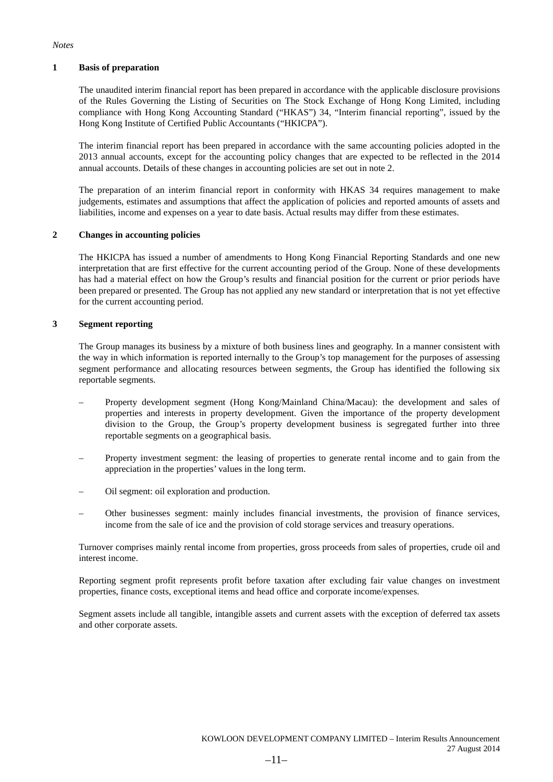#### *Notes*

#### **1 Basis of preparation**

The unaudited interim financial report has been prepared in accordance with the applicable disclosure provisions of the Rules Governing the Listing of Securities on The Stock Exchange of Hong Kong Limited, including compliance with Hong Kong Accounting Standard ("HKAS") 34, "Interim financial reporting", issued by the Hong Kong Institute of Certified Public Accountants ("HKICPA").

The interim financial report has been prepared in accordance with the same accounting policies adopted in the 2013 annual accounts, except for the accounting policy changes that are expected to be reflected in the 2014 annual accounts. Details of these changes in accounting policies are set out in note 2.

The preparation of an interim financial report in conformity with HKAS 34 requires management to make judgements, estimates and assumptions that affect the application of policies and reported amounts of assets and liabilities, income and expenses on a year to date basis. Actual results may differ from these estimates.

#### **2 Changes in accounting policies**

The HKICPA has issued a number of amendments to Hong Kong Financial Reporting Standards and one new interpretation that are first effective for the current accounting period of the Group. None of these developments has had a material effect on how the Group's results and financial position for the current or prior periods have been prepared or presented. The Group has not applied any new standard or interpretation that is not yet effective for the current accounting period.

#### **3 Segment reporting**

The Group manages its business by a mixture of both business lines and geography. In a manner consistent with the way in which information is reported internally to the Group's top management for the purposes of assessing segment performance and allocating resources between segments, the Group has identified the following six reportable segments.

- Property development segment (Hong Kong/Mainland China/Macau): the development and sales of properties and interests in property development. Given the importance of the property development division to the Group, the Group's property development business is segregated further into three reportable segments on a geographical basis.
- Property investment segment: the leasing of properties to generate rental income and to gain from the appreciation in the properties' values in the long term.
- Oil segment: oil exploration and production.
- Other businesses segment: mainly includes financial investments, the provision of finance services, income from the sale of ice and the provision of cold storage services and treasury operations.

Turnover comprises mainly rental income from properties, gross proceeds from sales of properties, crude oil and interest income.

Reporting segment profit represents profit before taxation after excluding fair value changes on investment properties, finance costs, exceptional items and head office and corporate income/expenses.

Segment assets include all tangible, intangible assets and current assets with the exception of deferred tax assets and other corporate assets.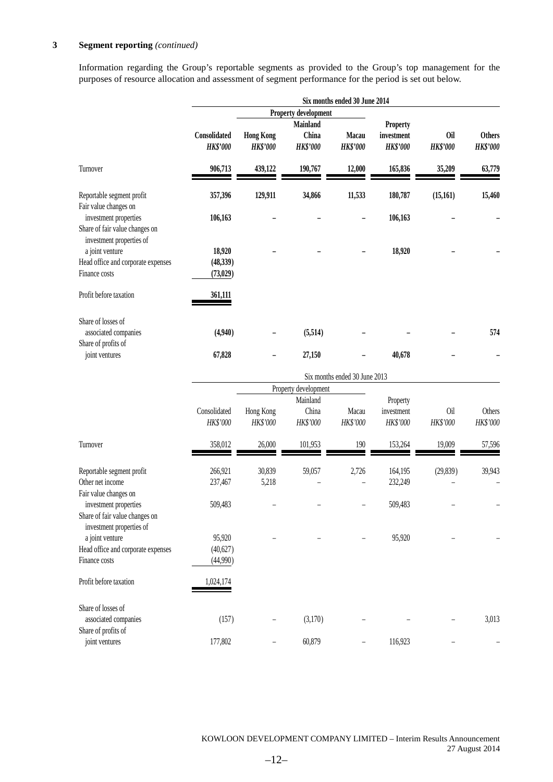#### **3 Segment reporting** *(continued)*

Information regarding the Group's reportable segments as provided to the Group's top management for the purposes of resource allocation and assessment of segment performance for the period is set out below.

|                                                                                     |                      |                      |                 | Six months ended 30 June 2014 |                 |                 |                 |  |  |
|-------------------------------------------------------------------------------------|----------------------|----------------------|-----------------|-------------------------------|-----------------|-----------------|-----------------|--|--|
|                                                                                     |                      | Property development |                 |                               |                 |                 |                 |  |  |
|                                                                                     |                      |                      | Mainland        |                               | Property        |                 |                 |  |  |
|                                                                                     | Consolidated         | <b>Hong Kong</b>     | China           | Macau                         | investment      | Oil             | <b>Others</b>   |  |  |
|                                                                                     | <b>HK\$'000</b>      | <b>HK\$'000</b>      | <b>HK\$'000</b> | <b>HK\$'000</b>               | <b>HK\$'000</b> | <b>HK\$'000</b> | <b>HK\$'000</b> |  |  |
| Turnover                                                                            | 906,713              | 439,122              | 190,767         | 12,000                        | 165,836         | 35,209          | 63,779          |  |  |
| Reportable segment profit<br>Fair value changes on                                  | 357,396              | 129,911              | 34,866          | 11,533                        | 180,787         | (15, 161)       | 15,460          |  |  |
| investment properties<br>Share of fair value changes on<br>investment properties of | 106,163              |                      |                 |                               | 106,163         |                 |                 |  |  |
| a joint venture                                                                     | 18,920               |                      |                 |                               | 18,920          |                 |                 |  |  |
| Head office and corporate expenses                                                  | (48, 339)            |                      |                 |                               |                 |                 |                 |  |  |
| Finance costs                                                                       | (73,029)             |                      |                 |                               |                 |                 |                 |  |  |
| Profit before taxation                                                              | 361,111              |                      |                 |                               |                 |                 |                 |  |  |
| Share of losses of                                                                  |                      |                      |                 |                               |                 |                 |                 |  |  |
| associated companies<br>Share of profits of                                         | (4,940)              |                      | (5,514)         |                               |                 |                 | 574             |  |  |
| joint ventures                                                                      | 67,828               |                      | 27,150          |                               | 40,678          |                 |                 |  |  |
|                                                                                     |                      |                      |                 | Six months ended 30 June 2013 |                 |                 |                 |  |  |
|                                                                                     | Property development |                      |                 |                               |                 |                 |                 |  |  |
|                                                                                     |                      |                      | Mainland        |                               | Property        |                 |                 |  |  |
|                                                                                     | Consolidated         | Hong Kong            | China           | Macau                         | investment      | <b>Oil</b>      | Others          |  |  |
|                                                                                     | HK\$'000             | HK\$'000             | HK\$'000        | HK\$'000                      | HK\$'000        | HK\$'000        | HK\$'000        |  |  |
| Turnover                                                                            | 358,012              | 26,000               | 101,953         | 190                           | 153,264         | 19,009          | 57,596          |  |  |
|                                                                                     |                      |                      |                 |                               |                 |                 |                 |  |  |
| Reportable segment profit                                                           | 266,921              | 30,839               | 59,057          | 2,726                         | 164,195         | (29, 839)       | 39,943          |  |  |
| Other net income                                                                    | 237,467              | 5,218                |                 |                               | 232,249         |                 |                 |  |  |
| Fair value changes on                                                               |                      |                      |                 |                               |                 |                 |                 |  |  |
| investment properties                                                               | 509,483              |                      |                 | ÷                             | 509,483         |                 |                 |  |  |
| Share of fair value changes on<br>investment properties of                          |                      |                      |                 |                               |                 |                 |                 |  |  |
| a joint venture                                                                     | 95,920               |                      |                 |                               | 95,920          |                 |                 |  |  |
| Head office and corporate expenses                                                  | (40,627)             |                      |                 |                               |                 |                 |                 |  |  |
| Finance costs                                                                       | (44,990)             |                      |                 |                               |                 |                 |                 |  |  |
| Profit before taxation                                                              | 1,024,174            |                      |                 |                               |                 |                 |                 |  |  |
| Share of losses of                                                                  |                      |                      |                 |                               |                 |                 |                 |  |  |
| associated companies                                                                | (157)                |                      | (3,170)         |                               |                 |                 | 3,013           |  |  |
| Share of profits of                                                                 |                      |                      |                 |                               |                 |                 |                 |  |  |
| joint ventures                                                                      | 177,802              |                      | 60,879          |                               | 116,923         |                 |                 |  |  |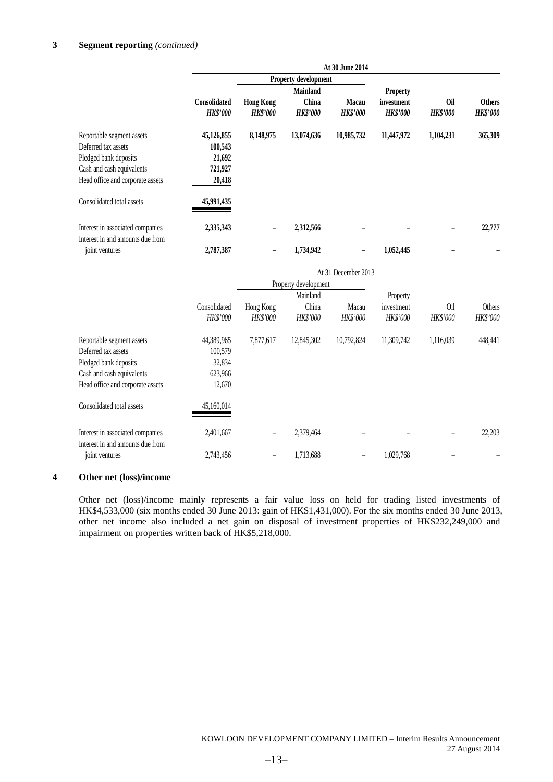|                                                                                                                                            |                                                      |                                     |                          | At 30 June 2014          |                                    |                               |                                  |
|--------------------------------------------------------------------------------------------------------------------------------------------|------------------------------------------------------|-------------------------------------|--------------------------|--------------------------|------------------------------------|-------------------------------|----------------------------------|
|                                                                                                                                            |                                                      |                                     | Property development     |                          |                                    |                               |                                  |
|                                                                                                                                            |                                                      |                                     | Mainland                 |                          | <b>Property</b>                    |                               |                                  |
|                                                                                                                                            | Consolidated<br><b>HK\$'000</b>                      | <b>Hong Kong</b><br><b>HK\$'000</b> | China<br><b>HK\$'000</b> | Macau<br><b>HK\$'000</b> | investment<br><b>HK\$'000</b>      | <b>Oil</b><br><b>HK\$'000</b> | <b>Others</b><br><b>HK\$'000</b> |
| Reportable segment assets<br>Deferred tax assets<br>Pledged bank deposits<br>Cash and cash equivalents<br>Head office and corporate assets | 45,126,855<br>100,543<br>21,692<br>721,927<br>20,418 | 8,148,975                           | 13,074,636               | 10,985,732               | 11,447,972                         | 1,104,231                     | 365,309                          |
| Consolidated total assets                                                                                                                  | 45,991,435                                           |                                     |                          |                          |                                    |                               |                                  |
| Interest in associated companies<br>Interest in and amounts due from                                                                       | 2,335,343                                            |                                     | 2,312,566                |                          |                                    |                               | 22,777                           |
| joint ventures                                                                                                                             | 2,787,387                                            |                                     | 1,734,942                |                          | 1,052,445                          |                               |                                  |
|                                                                                                                                            |                                                      |                                     |                          | At 31 December 2013      |                                    |                               |                                  |
|                                                                                                                                            |                                                      |                                     | Property development     |                          |                                    |                               |                                  |
|                                                                                                                                            |                                                      |                                     | Mainland                 |                          |                                    |                               |                                  |
|                                                                                                                                            | Consolidated<br>HK\$'000                             | Hong Kong<br>HK\$'000               | China<br>HK\$'000        | Macau<br>HK\$'000        | Property<br>investment<br>HK\$'000 | <b>Oil</b><br>HK\$'000        | Others<br>HK\$'000               |
| Reportable segment assets<br>Deferred tax assets<br>Pledged bank deposits<br>Cash and cash equivalents<br>Head office and corporate assets | 44,389,965<br>100,579<br>32,834<br>623,966<br>12,670 | 7,877,617                           | 12,845,302               | 10,792,824               | 11,309,742                         | 1,116,039                     | 448,441                          |
| Consolidated total assets                                                                                                                  | 45,160,014                                           |                                     |                          |                          |                                    |                               |                                  |
| Interest in associated companies<br>Interest in and amounts due from                                                                       | 2,401,667                                            |                                     | 2,379,464                |                          |                                    |                               | 22,203                           |
| joint ventures                                                                                                                             | 2,743,456                                            | $\overline{\phantom{0}}$            | 1,713,688                | $\overline{\phantom{0}}$ | 1,029,768                          |                               |                                  |

#### **4 Other net (loss)/income**

Other net (loss)/income mainly represents a fair value loss on held for trading listed investments of HK\$4,533,000 (six months ended 30 June 2013: gain of HK\$1,431,000). For the six months ended 30 June 2013, other net income also included a net gain on disposal of investment properties of HK\$232,249,000 and impairment on properties written back of HK\$5,218,000.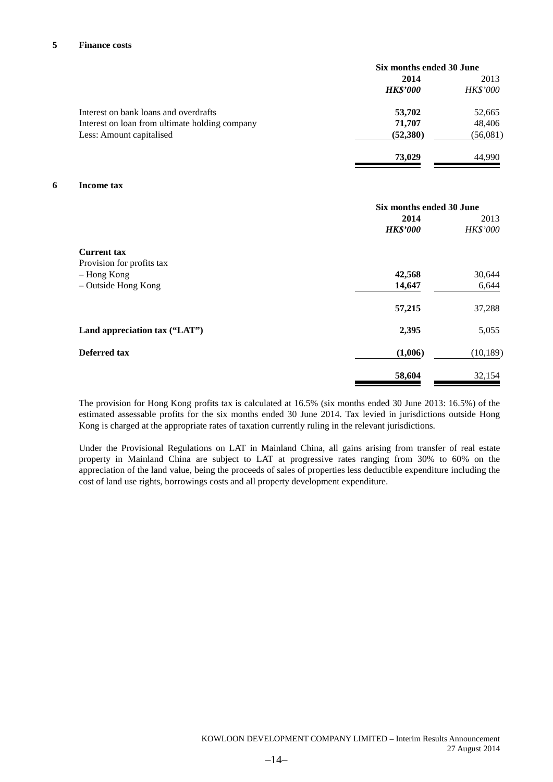#### **5 Finance costs**

|                                                | Six months ended 30 June |                 |
|------------------------------------------------|--------------------------|-----------------|
|                                                | 2014                     | 2013            |
|                                                | <b>HK\$'000</b>          | <b>HK\$'000</b> |
| Interest on bank loans and overdrafts          | 53,702                   | 52,665          |
| Interest on loan from ultimate holding company | 71,707                   | 48,406          |
| Less: Amount capitalised                       | (52, 380)                | (56,081)        |
|                                                | 73,029                   | 44.990          |

#### **6 Income tax**

| Six months ended 30 June |                  |  |
|--------------------------|------------------|--|
| 2014<br><b>HK\$'000</b>  | 2013<br>HK\$'000 |  |
|                          |                  |  |
|                          |                  |  |
| 42,568                   | 30,644           |  |
| 14,647                   | 6,644            |  |
| 57,215                   | 37,288           |  |
| 2,395                    | 5,055            |  |
| (1,006)                  | (10, 189)        |  |
| 58,604                   | 32,154           |  |
|                          |                  |  |

The provision for Hong Kong profits tax is calculated at 16.5% (six months ended 30 June 2013: 16.5%) of the estimated assessable profits for the six months ended 30 June 2014. Tax levied in jurisdictions outside Hong Kong is charged at the appropriate rates of taxation currently ruling in the relevant jurisdictions.

Under the Provisional Regulations on LAT in Mainland China, all gains arising from transfer of real estate property in Mainland China are subject to LAT at progressive rates ranging from 30% to 60% on the appreciation of the land value, being the proceeds of sales of properties less deductible expenditure including the cost of land use rights, borrowings costs and all property development expenditure.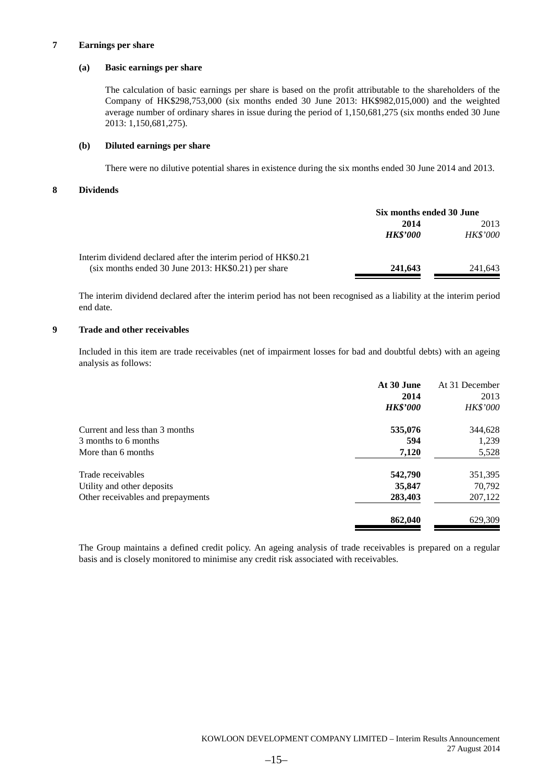#### **7 Earnings per share**

#### **(a) Basic earnings per share**

The calculation of basic earnings per share is based on the profit attributable to the shareholders of the Company of HK\$298,753,000 (six months ended 30 June 2013: HK\$982,015,000) and the weighted average number of ordinary shares in issue during the period of 1,150,681,275 (six months ended 30 June 2013: 1,150,681,275).

#### **(b) Diluted earnings per share**

There were no dilutive potential shares in existence during the six months ended 30 June 2014 and 2013.

#### **8 Dividends**

|                 | Six months ended 30 June |
|-----------------|--------------------------|
| 2014            | 2013                     |
| <b>HK\$'000</b> | <b>HK\$'000</b>          |
|                 |                          |
| 241,643         | 241.643                  |
|                 |                          |

The interim dividend declared after the interim period has not been recognised as a liability at the interim period end date.

#### **9 Trade and other receivables**

Included in this item are trade receivables (net of impairment losses for bad and doubtful debts) with an ageing analysis as follows:

| At 30 June      | At 31 December  |
|-----------------|-----------------|
| 2014            | 2013            |
| <b>HK\$'000</b> | <b>HK\$'000</b> |
| 535,076         | 344,628         |
| 594             | 1,239           |
| 7,120           | 5,528           |
| 542,790         | 351,395         |
| 35,847          | 70,792          |
| 283,403         | 207,122         |
| 862,040         | 629,309         |
|                 |                 |

The Group maintains a defined credit policy. An ageing analysis of trade receivables is prepared on a regular basis and is closely monitored to minimise any credit risk associated with receivables.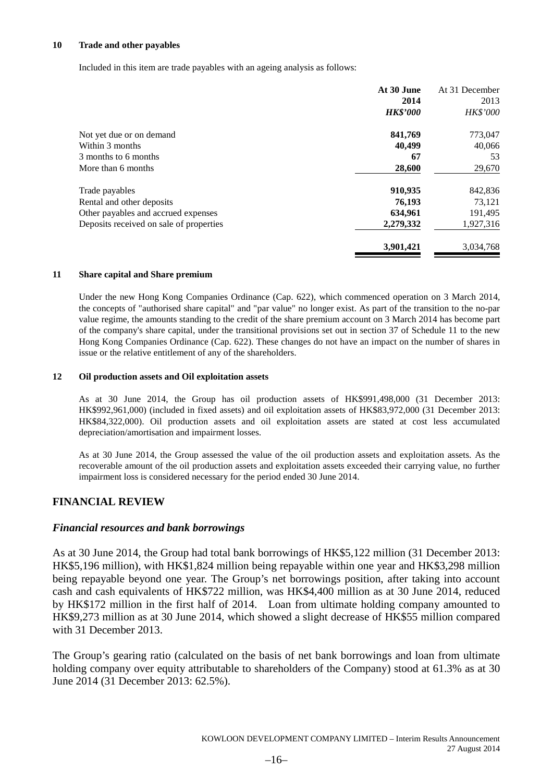#### **10 Trade and other payables**

Included in this item are trade payables with an ageing analysis as follows:

|                                         | At 30 June      | At 31 December |
|-----------------------------------------|-----------------|----------------|
|                                         | 2014            | 2013           |
|                                         | <b>HK\$'000</b> | HK\$'000       |
| Not yet due or on demand                | 841,769         | 773,047        |
| Within 3 months                         | 40,499          | 40,066         |
| 3 months to 6 months                    | 67              | 53             |
| More than 6 months                      | 28,600          | 29,670         |
| Trade payables                          | 910,935         | 842,836        |
| Rental and other deposits               | 76,193          | 73,121         |
| Other payables and accrued expenses     | 634,961         | 191,495        |
| Deposits received on sale of properties | 2,279,332       | 1,927,316      |
|                                         | 3,901,421       | 3,034,768      |
|                                         |                 |                |

#### **11 Share capital and Share premium**

Under the new Hong Kong Companies Ordinance (Cap. 622), which commenced operation on 3 March 2014, the concepts of "authorised share capital" and "par value" no longer exist. As part of the transition to the no-par value regime, the amounts standing to the credit of the share premium account on 3 March 2014 has become part of the company's share capital, under the transitional provisions set out in section 37 of Schedule 11 to the new Hong Kong Companies Ordinance (Cap. 622). These changes do not have an impact on the number of shares in issue or the relative entitlement of any of the shareholders.

#### **12 Oil production assets and Oil exploitation assets**

As at 30 June 2014, the Group has oil production assets of HK\$991,498,000 (31 December 2013: HK\$992,961,000) (included in fixed assets) and oil exploitation assets of HK\$83,972,000 (31 December 2013: HK\$84,322,000). Oil production assets and oil exploitation assets are stated at cost less accumulated depreciation/amortisation and impairment losses.

As at 30 June 2014, the Group assessed the value of the oil production assets and exploitation assets. As the recoverable amount of the oil production assets and exploitation assets exceeded their carrying value, no further impairment loss is considered necessary for the period ended 30 June 2014.

## **FINANCIAL REVIEW**

#### *Financial resources and bank borrowings*

As at 30 June 2014, the Group had total bank borrowings of HK\$5,122 million (31 December 2013: HK\$5,196 million), with HK\$1,824 million being repayable within one year and HK\$3,298 million being repayable beyond one year. The Group's net borrowings position, after taking into account cash and cash equivalents of HK\$722 million, was HK\$4,400 million as at 30 June 2014, reduced by HK\$172 million in the first half of 2014. Loan from ultimate holding company amounted to HK\$9,273 million as at 30 June 2014, which showed a slight decrease of HK\$55 million compared with 31 December 2013.

The Group's gearing ratio (calculated on the basis of net bank borrowings and loan from ultimate holding company over equity attributable to shareholders of the Company) stood at 61.3% as at 30 June 2014 (31 December 2013: 62.5%).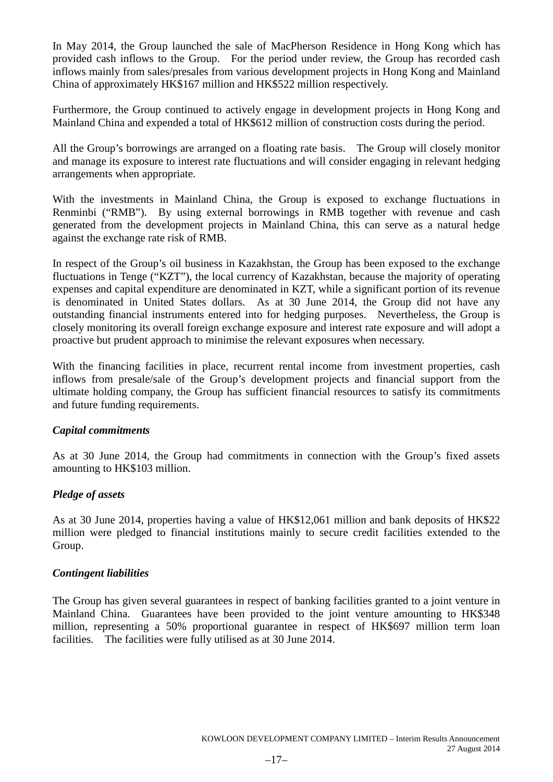In May 2014, the Group launched the sale of MacPherson Residence in Hong Kong which has provided cash inflows to the Group. For the period under review, the Group has recorded cash inflows mainly from sales/presales from various development projects in Hong Kong and Mainland China of approximately HK\$167 million and HK\$522 million respectively.

Furthermore, the Group continued to actively engage in development projects in Hong Kong and Mainland China and expended a total of HK\$612 million of construction costs during the period.

All the Group's borrowings are arranged on a floating rate basis. The Group will closely monitor and manage its exposure to interest rate fluctuations and will consider engaging in relevant hedging arrangements when appropriate.

With the investments in Mainland China, the Group is exposed to exchange fluctuations in Renminbi ("RMB"). By using external borrowings in RMB together with revenue and cash generated from the development projects in Mainland China, this can serve as a natural hedge against the exchange rate risk of RMB.

In respect of the Group's oil business in Kazakhstan, the Group has been exposed to the exchange fluctuations in Tenge ("KZT"), the local currency of Kazakhstan, because the majority of operating expenses and capital expenditure are denominated in KZT, while a significant portion of its revenue is denominated in United States dollars. As at 30 June 2014, the Group did not have any outstanding financial instruments entered into for hedging purposes. Nevertheless, the Group is closely monitoring its overall foreign exchange exposure and interest rate exposure and will adopt a proactive but prudent approach to minimise the relevant exposures when necessary.

With the financing facilities in place, recurrent rental income from investment properties, cash inflows from presale/sale of the Group's development projects and financial support from the ultimate holding company, the Group has sufficient financial resources to satisfy its commitments and future funding requirements.

## *Capital commitments*

As at 30 June 2014, the Group had commitments in connection with the Group's fixed assets amounting to HK\$103 million.

## *Pledge of assets*

As at 30 June 2014, properties having a value of HK\$12,061 million and bank deposits of HK\$22 million were pledged to financial institutions mainly to secure credit facilities extended to the Group.

## *Contingent liabilities*

The Group has given several guarantees in respect of banking facilities granted to a joint venture in Mainland China. Guarantees have been provided to the joint venture amounting to HK\$348 million, representing a 50% proportional guarantee in respect of HK\$697 million term loan facilities. The facilities were fully utilised as at 30 June 2014.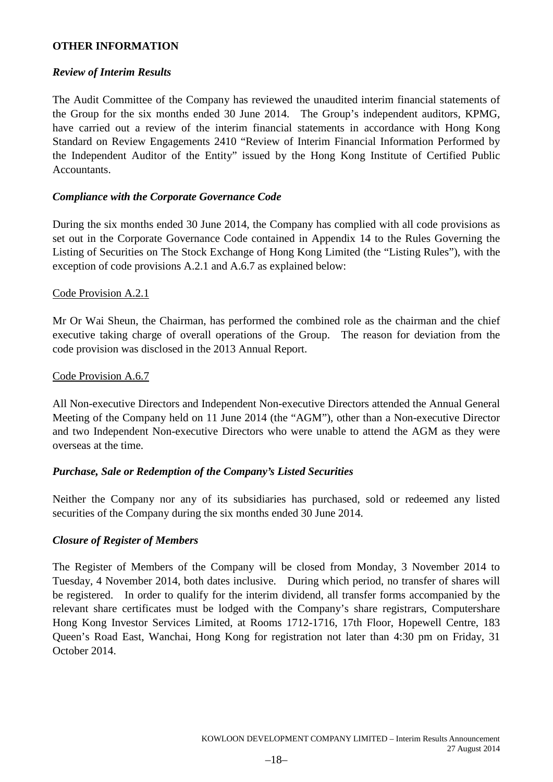## **OTHER INFORMATION**

## *Review of Interim Results*

The Audit Committee of the Company has reviewed the unaudited interim financial statements of the Group for the six months ended 30 June 2014. The Group's independent auditors, KPMG, have carried out a review of the interim financial statements in accordance with Hong Kong Standard on Review Engagements 2410 "Review of Interim Financial Information Performed by the Independent Auditor of the Entity" issued by the Hong Kong Institute of Certified Public Accountants.

## *Compliance with the Corporate Governance Code*

During the six months ended 30 June 2014, the Company has complied with all code provisions as set out in the Corporate Governance Code contained in Appendix 14 to the Rules Governing the Listing of Securities on The Stock Exchange of Hong Kong Limited (the "Listing Rules"), with the exception of code provisions A.2.1 and A.6.7 as explained below:

## Code Provision A.2.1

Mr Or Wai Sheun, the Chairman, has performed the combined role as the chairman and the chief executive taking charge of overall operations of the Group. The reason for deviation from the code provision was disclosed in the 2013 Annual Report.

## Code Provision A.6.7

All Non-executive Directors and Independent Non-executive Directors attended the Annual General Meeting of the Company held on 11 June 2014 (the "AGM"), other than a Non-executive Director and two Independent Non-executive Directors who were unable to attend the AGM as they were overseas at the time.

## *Purchase, Sale or Redemption of the Company's Listed Securities*

Neither the Company nor any of its subsidiaries has purchased, sold or redeemed any listed securities of the Company during the six months ended 30 June 2014.

## *Closure of Register of Members*

The Register of Members of the Company will be closed from Monday, 3 November 2014 to Tuesday, 4 November 2014, both dates inclusive. During which period, no transfer of shares will be registered. In order to qualify for the interim dividend, all transfer forms accompanied by the relevant share certificates must be lodged with the Company's share registrars, Computershare Hong Kong Investor Services Limited, at Rooms 1712-1716, 17th Floor, Hopewell Centre, 183 Queen's Road East, Wanchai, Hong Kong for registration not later than 4:30 pm on Friday, 31 October 2014.